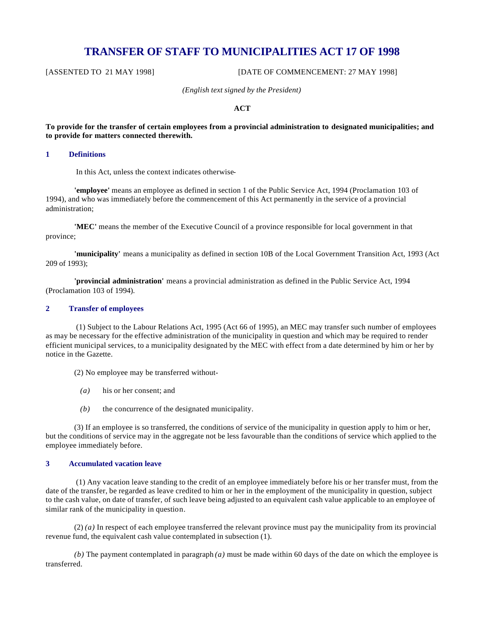# **TRANSFER OF STAFF TO MUNICIPALITIES ACT 17 OF 1998**

[ASSENTED TO 21 MAY 1998] [DATE OF COMMENCEMENT: 27 MAY 1998]

*(English text signed by the President)*

# **ACT**

**To provide for the transfer of certain employees from a provincial administration to designated municipalities; and to provide for matters connected therewith.** 

# **1 Definitions**

In this Act, unless the context indicates otherwise-

**'employee'** means an employee as defined in section 1 of the Public Service Act, 1994 (Proclamation 103 of 1994), and who was immediately before the commencement of this Act permanently in the service of a provincial administration;

**'MEC'** means the member of the Executive Council of a province responsible for local government in that province;

**'municipality'** means a municipality as defined in section 10B of the Local Government Transition Act, 1993 (Act 209 of 1993);

**'provincial administration'** means a provincial administration as defined in the Public Service Act, 1994 (Proclamation 103 of 1994).

### **2 Transfer of employees**

 (1) Subject to the Labour Relations Act, 1995 (Act 66 of 1995), an MEC may transfer such number of employees as may be necessary for the effective administration of the municipality in question and which may be required to render efficient municipal services, to a municipality designated by the MEC with effect from a date determined by him or her by notice in the Gazette.

(2) No employee may be transferred without-

- *(a)* his or her consent; and
- *(b)* the concurrence of the designated municipality.

(3) If an employee is so transferred, the conditions of service of the municipality in question apply to him or her, but the conditions of service may in the aggregate not be less favourable than the conditions of service which applied to the employee immediately before.

# **3 Accumulated vacation leave**

 (1) Any vacation leave standing to the credit of an employee immediately before his or her transfer must, from the date of the transfer, be regarded as leave credited to him or her in the employment of the municipality in question, subject to the cash value, on date of transfer, of such leave being adjusted to an equivalent cash value applicable to an employee of similar rank of the municipality in question.

(2) *(a)* In respect of each employee transferred the relevant province must pay the municipality from its provincial revenue fund, the equivalent cash value contemplated in subsection (1).

*(b)* The payment contemplated in paragraph *(a)* must be made within 60 days of the date on which the employee is transferred.